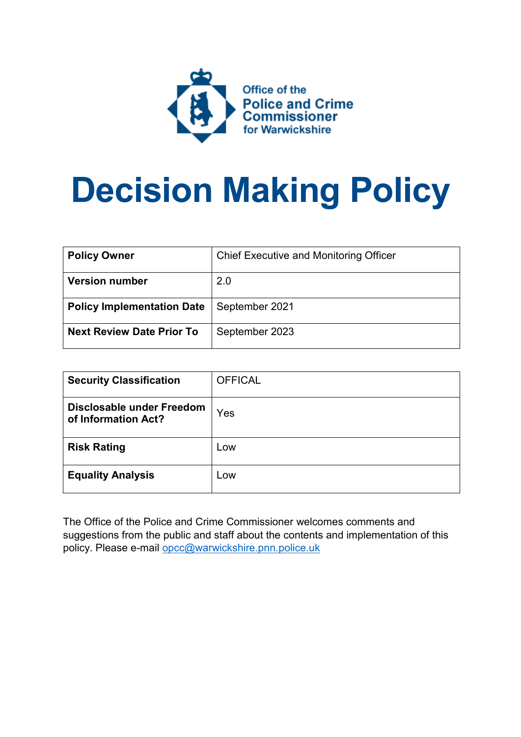

# **Decision Making Policy**

| <b>Policy Owner</b>               | <b>Chief Executive and Monitoring Officer</b> |
|-----------------------------------|-----------------------------------------------|
| <b>Version number</b>             | 2.0                                           |
| <b>Policy Implementation Date</b> | September 2021                                |
| <b>Next Review Date Prior To</b>  | September 2023                                |

| <b>Security Classification</b>                   | <b>OFFICAL</b> |
|--------------------------------------------------|----------------|
| Disclosable under Freedom<br>of Information Act? | Yes            |
| <b>Risk Rating</b>                               | Low            |
| <b>Equality Analysis</b>                         | Low            |

The Office of the Police and Crime Commissioner welcomes comments and suggestions from the public and staff about the contents and implementation of this policy. Please e-mail [opcc@warwickshire.pnn.police.uk](mailto:opcc@warwickshire.pnn.police.uk)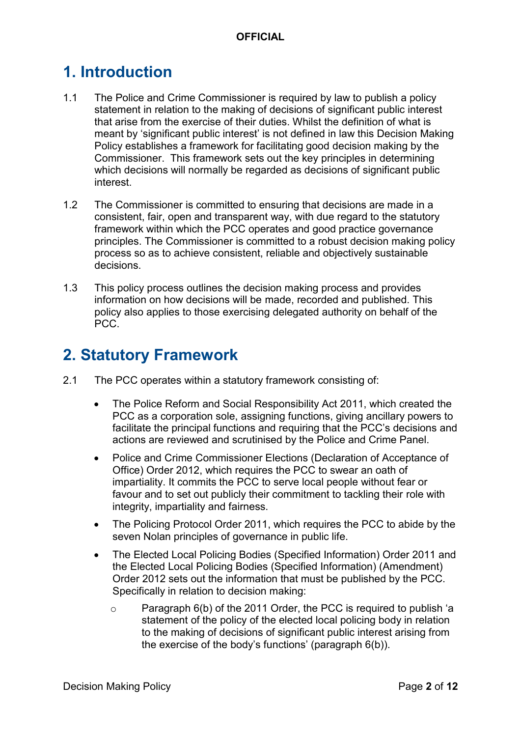# **1. Introduction**

- 1.1 The Police and Crime Commissioner is required by law to publish a policy statement in relation to the making of decisions of significant public interest that arise from the exercise of their duties. Whilst the definition of what is meant by 'significant public interest' is not defined in law this Decision Making Policy establishes a framework for facilitating good decision making by the Commissioner. This framework sets out the key principles in determining which decisions will normally be regarded as decisions of significant public interest.
- 1.2 The Commissioner is committed to ensuring that decisions are made in a consistent, fair, open and transparent way, with due regard to the statutory framework within which the PCC operates and good practice governance principles. The Commissioner is committed to a robust decision making policy process so as to achieve consistent, reliable and objectively sustainable decisions.
- 1.3 This policy process outlines the decision making process and provides information on how decisions will be made, recorded and published. This policy also applies to those exercising delegated authority on behalf of the PCC.

# **2. Statutory Framework**

- 2.1 The PCC operates within a statutory framework consisting of:
	- The Police Reform and Social Responsibility Act 2011, which created the PCC as a corporation sole, assigning functions, giving ancillary powers to facilitate the principal functions and requiring that the PCC's decisions and actions are reviewed and scrutinised by the Police and Crime Panel.
	- Police and Crime Commissioner Elections (Declaration of Acceptance of Office) Order 2012, which requires the PCC to swear an oath of impartiality. It commits the PCC to serve local people without fear or favour and to set out publicly their commitment to tackling their role with integrity, impartiality and fairness.
	- The Policing Protocol Order 2011, which requires the PCC to abide by the seven Nolan principles of governance in public life.
	- The Elected Local Policing Bodies (Specified Information) Order 2011 and the Elected Local Policing Bodies (Specified Information) (Amendment) Order 2012 sets out the information that must be published by the PCC. Specifically in relation to decision making:
		- o Paragraph 6(b) of the 2011 Order, the PCC is required to publish 'a statement of the policy of the elected local policing body in relation to the making of decisions of significant public interest arising from the exercise of the body's functions' (paragraph 6(b)).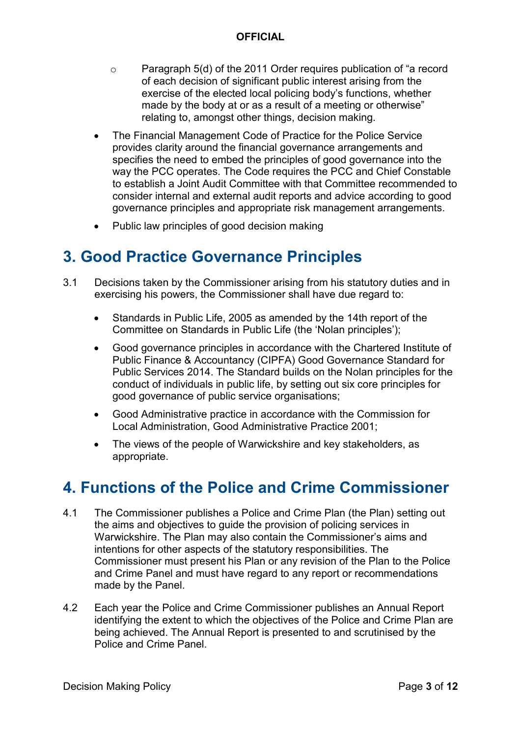- o Paragraph 5(d) of the 2011 Order requires publication of "a record of each decision of significant public interest arising from the exercise of the elected local policing body's functions, whether made by the body at or as a result of a meeting or otherwise" relating to, amongst other things, decision making.
- The Financial Management Code of Practice for the Police Service provides clarity around the financial governance arrangements and specifies the need to embed the principles of good governance into the way the PCC operates. The Code requires the PCC and Chief Constable to establish a Joint Audit Committee with that Committee recommended to consider internal and external audit reports and advice according to good governance principles and appropriate risk management arrangements.
- Public law principles of good decision making

# **3. Good Practice Governance Principles**

- 3.1 Decisions taken by the Commissioner arising from his statutory duties and in exercising his powers, the Commissioner shall have due regard to:
	- Standards in Public Life, 2005 as amended by the 14th report of the Committee on Standards in Public Life (the 'Nolan principles');
	- Good governance principles in accordance with the Chartered Institute of Public Finance & Accountancy (CIPFA) Good Governance Standard for Public Services 2014. The Standard builds on the Nolan principles for the conduct of individuals in public life, by setting out six core principles for good governance of public service organisations;
	- Good Administrative practice in accordance with the Commission for Local Administration, Good Administrative Practice 2001;
	- The views of the people of Warwickshire and key stakeholders, as appropriate.

# **4. Functions of the Police and Crime Commissioner**

- 4.1 The Commissioner publishes a Police and Crime Plan (the Plan) setting out the aims and objectives to guide the provision of policing services in Warwickshire. The Plan may also contain the Commissioner's aims and intentions for other aspects of the statutory responsibilities. The Commissioner must present his Plan or any revision of the Plan to the Police and Crime Panel and must have regard to any report or recommendations made by the Panel.
- 4.2 Each year the Police and Crime Commissioner publishes an Annual Report identifying the extent to which the objectives of the Police and Crime Plan are being achieved. The Annual Report is presented to and scrutinised by the Police and Crime Panel.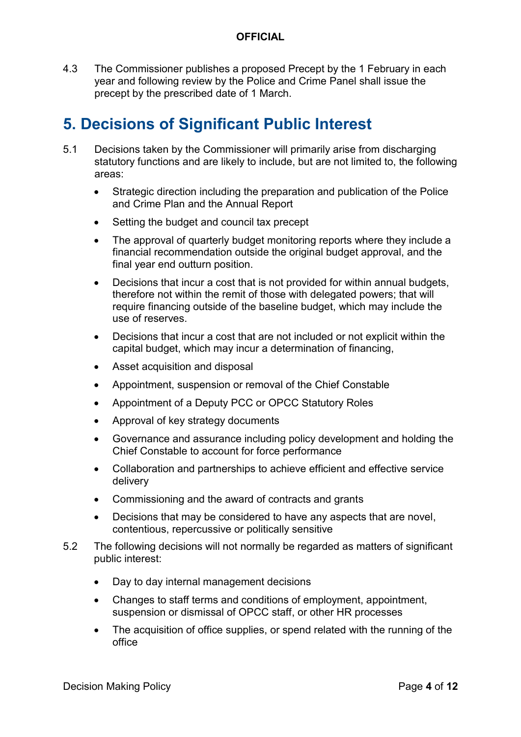4.3 The Commissioner publishes a proposed Precept by the 1 February in each year and following review by the Police and Crime Panel shall issue the precept by the prescribed date of 1 March.

# **5. Decisions of Significant Public Interest**

- 5.1 Decisions taken by the Commissioner will primarily arise from discharging statutory functions and are likely to include, but are not limited to, the following areas:
	- Strategic direction including the preparation and publication of the Police and Crime Plan and the Annual Report
	- Setting the budget and council tax precept
	- The approval of quarterly budget monitoring reports where they include a financial recommendation outside the original budget approval, and the final year end outturn position.
	- Decisions that incur a cost that is not provided for within annual budgets, therefore not within the remit of those with delegated powers; that will require financing outside of the baseline budget, which may include the use of reserves.
	- Decisions that incur a cost that are not included or not explicit within the capital budget, which may incur a determination of financing,
	- Asset acquisition and disposal
	- Appointment, suspension or removal of the Chief Constable
	- Appointment of a Deputy PCC or OPCC Statutory Roles
	- Approval of key strategy documents
	- Governance and assurance including policy development and holding the Chief Constable to account for force performance
	- Collaboration and partnerships to achieve efficient and effective service delivery
	- Commissioning and the award of contracts and grants
	- Decisions that may be considered to have any aspects that are novel, contentious, repercussive or politically sensitive
- 5.2 The following decisions will not normally be regarded as matters of significant public interest:
	- Day to day internal management decisions
	- Changes to staff terms and conditions of employment, appointment, suspension or dismissal of OPCC staff, or other HR processes
	- The acquisition of office supplies, or spend related with the running of the office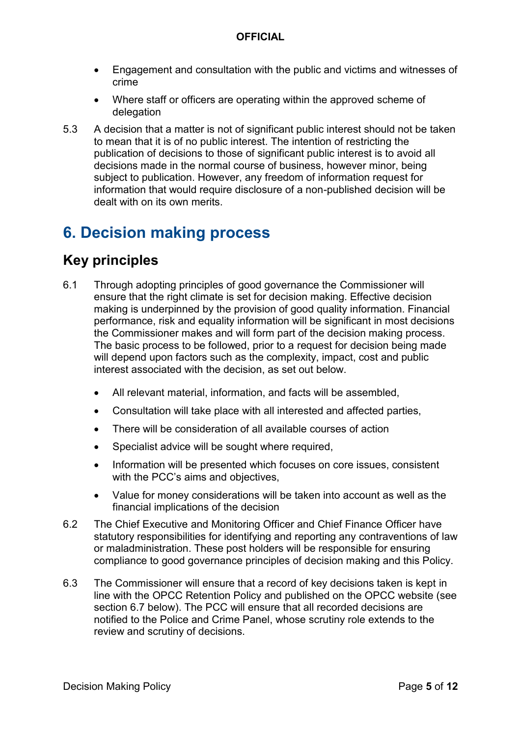- Engagement and consultation with the public and victims and witnesses of crime
- Where staff or officers are operating within the approved scheme of delegation
- 5.3 A decision that a matter is not of significant public interest should not be taken to mean that it is of no public interest. The intention of restricting the publication of decisions to those of significant public interest is to avoid all decisions made in the normal course of business, however minor, being subject to publication. However, any freedom of information request for information that would require disclosure of a non-published decision will be dealt with on its own merits.

# **6. Decision making process**

### **Key principles**

- 6.1 Through adopting principles of good governance the Commissioner will ensure that the right climate is set for decision making. Effective decision making is underpinned by the provision of good quality information. Financial performance, risk and equality information will be significant in most decisions the Commissioner makes and will form part of the decision making process. The basic process to be followed, prior to a request for decision being made will depend upon factors such as the complexity, impact, cost and public interest associated with the decision, as set out below.
	- All relevant material, information, and facts will be assembled,
	- Consultation will take place with all interested and affected parties,
	- There will be consideration of all available courses of action
	- Specialist advice will be sought where required.
	- Information will be presented which focuses on core issues, consistent with the PCC's aims and objectives.
	- Value for money considerations will be taken into account as well as the financial implications of the decision
- 6.2 The Chief Executive and Monitoring Officer and Chief Finance Officer have statutory responsibilities for identifying and reporting any contraventions of law or maladministration. These post holders will be responsible for ensuring compliance to good governance principles of decision making and this Policy.
- 6.3 The Commissioner will ensure that a record of key decisions taken is kept in line with the OPCC Retention Policy and published on the OPCC website (see section 6.7 below). The PCC will ensure that all recorded decisions are notified to the Police and Crime Panel, whose scrutiny role extends to the review and scrutiny of decisions.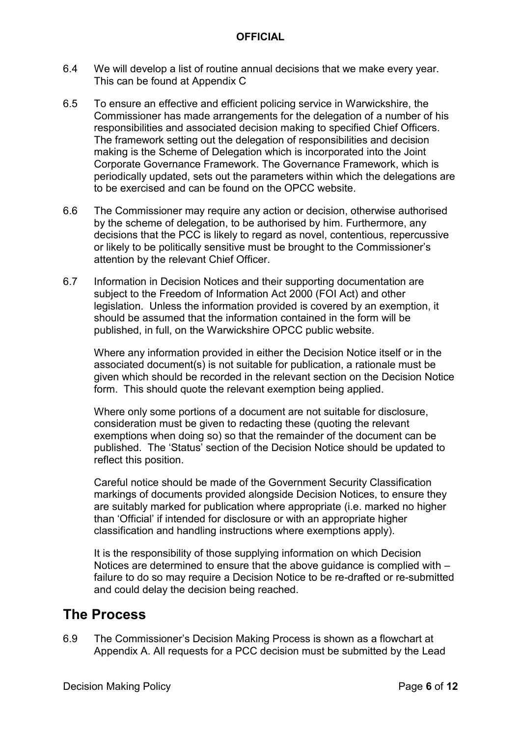- 6.4 We will develop a list of routine annual decisions that we make every year. This can be found at Appendix C
- 6.5 To ensure an effective and efficient policing service in Warwickshire, the Commissioner has made arrangements for the delegation of a number of his responsibilities and associated decision making to specified Chief Officers. The framework setting out the delegation of responsibilities and decision making is the Scheme of Delegation which is incorporated into the Joint Corporate Governance Framework. The Governance Framework, which is periodically updated, sets out the parameters within which the delegations are to be exercised and can be found on the OPCC website.
- 6.6 The Commissioner may require any action or decision, otherwise authorised by the scheme of delegation, to be authorised by him. Furthermore, any decisions that the PCC is likely to regard as novel, contentious, repercussive or likely to be politically sensitive must be brought to the Commissioner's attention by the relevant Chief Officer.
- 6.7 Information in Decision Notices and their supporting documentation are subject to the Freedom of Information Act 2000 (FOI Act) and other legislation. Unless the information provided is covered by an exemption, it should be assumed that the information contained in the form will be published, in full, on the Warwickshire OPCC public website.

Where any information provided in either the Decision Notice itself or in the associated document(s) is not suitable for publication, a rationale must be given which should be recorded in the relevant section on the Decision Notice form. This should quote the relevant exemption being applied.

Where only some portions of a document are not suitable for disclosure, consideration must be given to redacting these (quoting the relevant exemptions when doing so) so that the remainder of the document can be published. The 'Status' section of the Decision Notice should be updated to reflect this position.

Careful notice should be made of the Government Security Classification markings of documents provided alongside Decision Notices, to ensure they are suitably marked for publication where appropriate (i.e. marked no higher than 'Official' if intended for disclosure or with an appropriate higher classification and handling instructions where exemptions apply).

It is the responsibility of those supplying information on which Decision Notices are determined to ensure that the above guidance is complied with – failure to do so may require a Decision Notice to be re-drafted or re-submitted and could delay the decision being reached.

### **The Process**

6.9 The Commissioner's Decision Making Process is shown as a flowchart at Appendix A. All requests for a PCC decision must be submitted by the Lead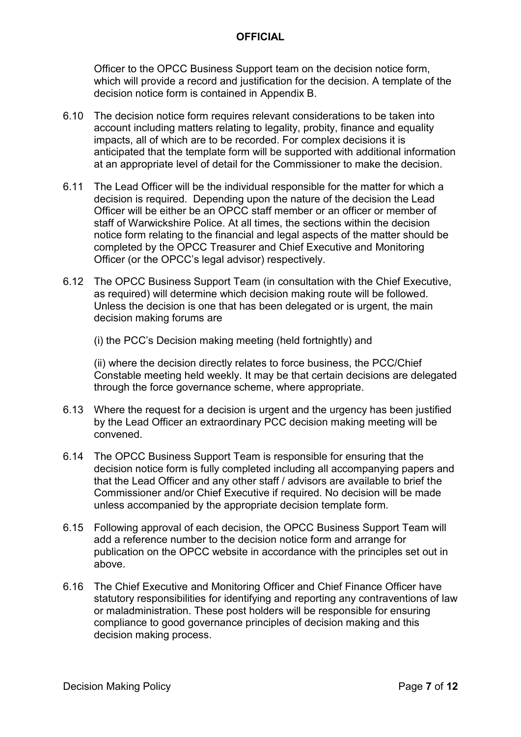Officer to the OPCC Business Support team on the decision notice form, which will provide a record and justification for the decision. A template of the decision notice form is contained in Appendix B.

- 6.10 The decision notice form requires relevant considerations to be taken into account including matters relating to legality, probity, finance and equality impacts, all of which are to be recorded. For complex decisions it is anticipated that the template form will be supported with additional information at an appropriate level of detail for the Commissioner to make the decision.
- 6.11 The Lead Officer will be the individual responsible for the matter for which a decision is required. Depending upon the nature of the decision the Lead Officer will be either be an OPCC staff member or an officer or member of staff of Warwickshire Police. At all times, the sections within the decision notice form relating to the financial and legal aspects of the matter should be completed by the OPCC Treasurer and Chief Executive and Monitoring Officer (or the OPCC's legal advisor) respectively.
- 6.12 The OPCC Business Support Team (in consultation with the Chief Executive, as required) will determine which decision making route will be followed. Unless the decision is one that has been delegated or is urgent, the main decision making forums are

(i) the PCC's Decision making meeting (held fortnightly) and

(ii) where the decision directly relates to force business, the PCC/Chief Constable meeting held weekly. It may be that certain decisions are delegated through the force governance scheme, where appropriate.

- 6.13 Where the request for a decision is urgent and the urgency has been justified by the Lead Officer an extraordinary PCC decision making meeting will be convened.
- 6.14 The OPCC Business Support Team is responsible for ensuring that the decision notice form is fully completed including all accompanying papers and that the Lead Officer and any other staff / advisors are available to brief the Commissioner and/or Chief Executive if required. No decision will be made unless accompanied by the appropriate decision template form.
- 6.15 Following approval of each decision, the OPCC Business Support Team will add a reference number to the decision notice form and arrange for publication on the OPCC website in accordance with the principles set out in above.
- 6.16 The Chief Executive and Monitoring Officer and Chief Finance Officer have statutory responsibilities for identifying and reporting any contraventions of law or maladministration. These post holders will be responsible for ensuring compliance to good governance principles of decision making and this decision making process.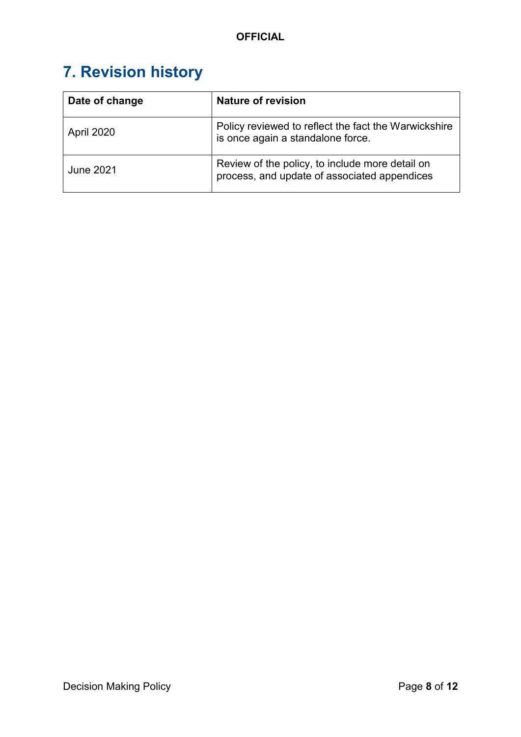# **7. Revision history**

| Date of change | <b>Nature of revision</b>                                                                       |
|----------------|-------------------------------------------------------------------------------------------------|
| April 2020     | Policy reviewed to reflect the fact the Warwickshire<br>is once again a standalone force.       |
| June 2021      | Review of the policy, to include more detail on<br>process, and update of associated appendices |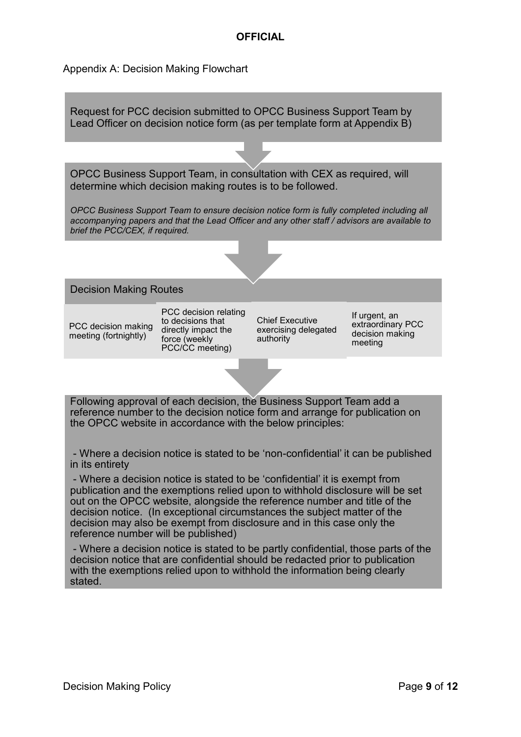#### Appendix A: Decision Making Flowchart

Following approval of each decision, the Business Support Team add a reference number to the decision notice form and arrange for publication on the OPCC website in accordance with the below principles: Decision Making Routes PCC decision making meeting (fortnightly) PCC decision relating to decisions that directly impact the force (weekly PCC/CC meeting) Chief Executive exercising delegated authority If urgent, an extraordinary PCC decision making meeting OPCC Business Support Team, in consultation with CEX as required, will determine which decision making routes is to be followed. *OPCC Business Support Team to ensure decision notice form is fully completed including all accompanying papers and that the Lead Officer and any other staff / advisors are available to brief the PCC/CEX, if required.* Request for PCC decision submitted to OPCC Business Support Team by Lead Officer on decision notice form (as per template form at Appendix B)

- Where a decision notice is stated to be 'non-confidential' it can be published in its entirety

- Where a decision notice is stated to be 'confidential' it is exempt from publication and the exemptions relied upon to withhold disclosure will be set out on the OPCC website, alongside the reference number and title of the decision notice. (In exceptional circumstances the subject matter of the decision may also be exempt from disclosure and in this case only the reference number will be published)

- Where a decision notice is stated to be partly confidential, those parts of the decision notice that are confidential should be redacted prior to publication with the exemptions relied upon to withhold the information being clearly stated.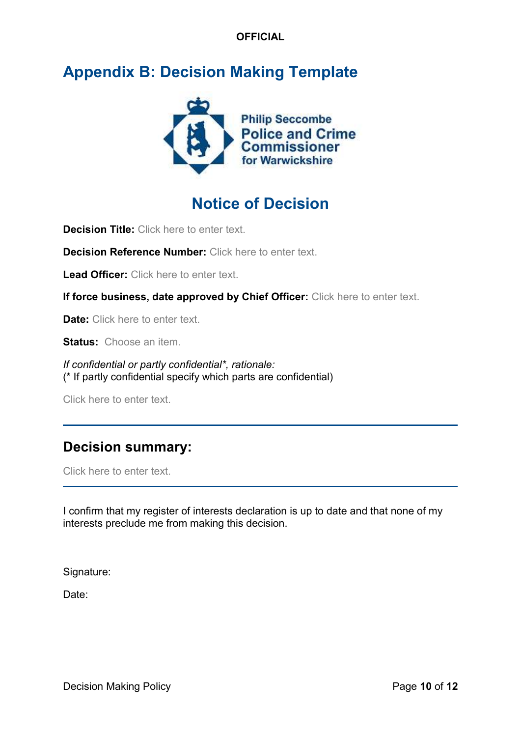# **Appendix B: Decision Making Template**



# **Notice of Decision**

**Decision Title:** Click here to enter text.

**Decision Reference Number:** Click here to enter text.

Lead Officer: Click here to enter text.

**If force business, date approved by Chief Officer:** Click here to enter text.

**Date:** Click here to enter text.

**Status:** Choose an item.

*If confidential or partly confidential\*, rationale:* (\* If partly confidential specify which parts are confidential)

Click here to enter text.

### **Decision summary:**

Click here to enter text.

I confirm that my register of interests declaration is up to date and that none of my interests preclude me from making this decision.

Signature:

Date: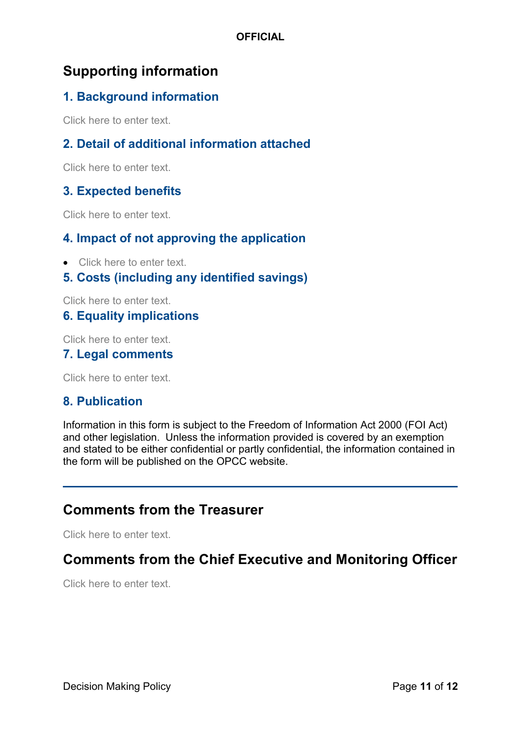## **Supporting information**

### **1. Background information**

Click here to enter text.

### **2. Detail of additional information attached**

Click here to enter text.

#### **3. Expected benefits**

Click here to enter text.

#### **4. Impact of not approving the application**

- Click here to enter text.
- **5. Costs (including any identified savings)**

Click here to enter text.

#### **6. Equality implications**

Click here to enter text.

#### **7. Legal comments**

Click here to enter text.

#### **8. Publication**

Information in this form is subject to the Freedom of Information Act 2000 (FOI Act) and other legislation. Unless the information provided is covered by an exemption and stated to be either confidential or partly confidential, the information contained in the form will be published on the OPCC website.

### **Comments from the Treasurer**

Click here to enter text.

### **Comments from the Chief Executive and Monitoring Officer**

Click here to enter text.